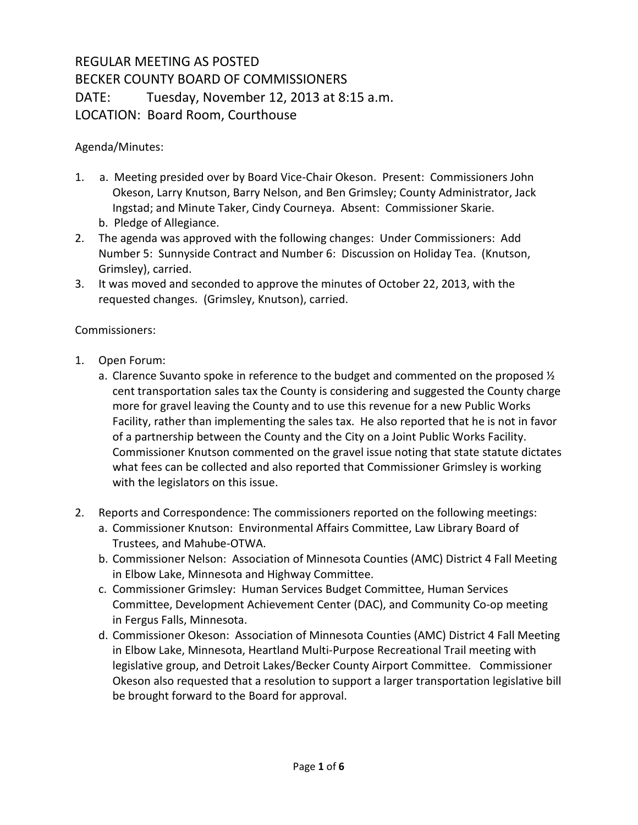## REGULAR MEETING AS POSTED BECKER COUNTY BOARD OF COMMISSIONERS DATE: Tuesday, November 12, 2013 at 8:15 a.m. LOCATION: Board Room, Courthouse

Agenda/Minutes:

- 1. a. Meeting presided over by Board Vice-Chair Okeson. Present: Commissioners John Okeson, Larry Knutson, Barry Nelson, and Ben Grimsley; County Administrator, Jack Ingstad; and Minute Taker, Cindy Courneya. Absent: Commissioner Skarie. b. Pledge of Allegiance.
- 2. The agenda was approved with the following changes: Under Commissioners: Add Number 5: Sunnyside Contract and Number 6: Discussion on Holiday Tea. (Knutson, Grimsley), carried.
- 3. It was moved and seconded to approve the minutes of October 22, 2013, with the requested changes. (Grimsley, Knutson), carried.

Commissioners:

- 1. Open Forum:
	- a. Clarence Suvanto spoke in reference to the budget and commented on the proposed  $\frac{1}{2}$ cent transportation sales tax the County is considering and suggested the County charge more for gravel leaving the County and to use this revenue for a new Public Works Facility, rather than implementing the sales tax. He also reported that he is not in favor of a partnership between the County and the City on a Joint Public Works Facility. Commissioner Knutson commented on the gravel issue noting that state statute dictates what fees can be collected and also reported that Commissioner Grimsley is working with the legislators on this issue.
- 2. Reports and Correspondence: The commissioners reported on the following meetings:
	- a. Commissioner Knutson: Environmental Affairs Committee, Law Library Board of Trustees, and Mahube-OTWA.
	- b. Commissioner Nelson: Association of Minnesota Counties (AMC) District 4 Fall Meeting in Elbow Lake, Minnesota and Highway Committee.
	- c. Commissioner Grimsley: Human Services Budget Committee, Human Services Committee, Development Achievement Center (DAC), and Community Co-op meeting in Fergus Falls, Minnesota.
	- d. Commissioner Okeson: Association of Minnesota Counties (AMC) District 4 Fall Meeting in Elbow Lake, Minnesota, Heartland Multi-Purpose Recreational Trail meeting with legislative group, and Detroit Lakes/Becker County Airport Committee. Commissioner Okeson also requested that a resolution to support a larger transportation legislative bill be brought forward to the Board for approval.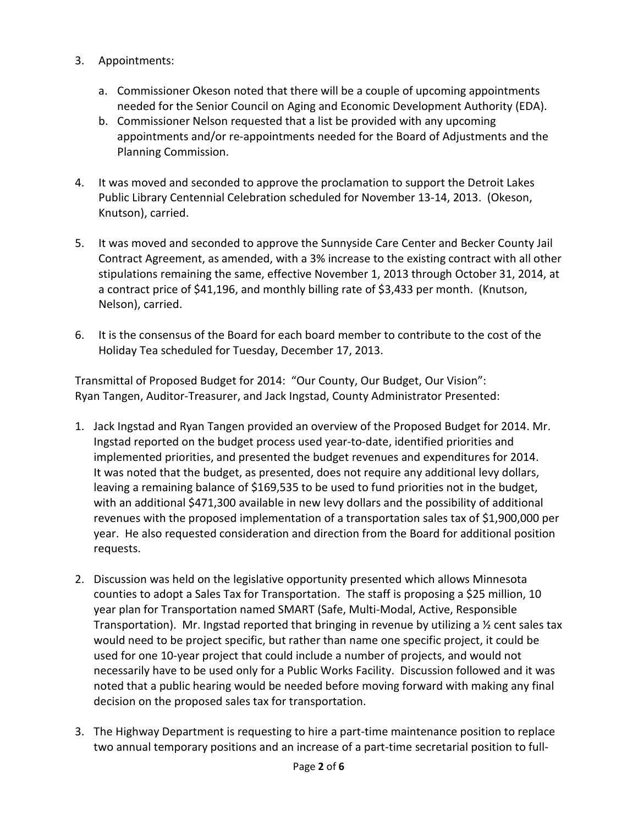- 3. Appointments:
	- a. Commissioner Okeson noted that there will be a couple of upcoming appointments needed for the Senior Council on Aging and Economic Development Authority (EDA).
	- b. Commissioner Nelson requested that a list be provided with any upcoming appointments and/or re-appointments needed for the Board of Adjustments and the Planning Commission.
- 4. It was moved and seconded to approve the proclamation to support the Detroit Lakes Public Library Centennial Celebration scheduled for November 13-14, 2013. (Okeson, Knutson), carried.
- 5. It was moved and seconded to approve the Sunnyside Care Center and Becker County Jail Contract Agreement, as amended, with a 3% increase to the existing contract with all other stipulations remaining the same, effective November 1, 2013 through October 31, 2014, at a contract price of \$41,196, and monthly billing rate of \$3,433 per month. (Knutson, Nelson), carried.
- 6. It is the consensus of the Board for each board member to contribute to the cost of the Holiday Tea scheduled for Tuesday, December 17, 2013.

Transmittal of Proposed Budget for 2014: "Our County, Our Budget, Our Vision": Ryan Tangen, Auditor-Treasurer, and Jack Ingstad, County Administrator Presented:

- 1. Jack Ingstad and Ryan Tangen provided an overview of the Proposed Budget for 2014. Mr. Ingstad reported on the budget process used year-to-date, identified priorities and implemented priorities, and presented the budget revenues and expenditures for 2014. It was noted that the budget, as presented, does not require any additional levy dollars, leaving a remaining balance of \$169,535 to be used to fund priorities not in the budget, with an additional \$471,300 available in new levy dollars and the possibility of additional revenues with the proposed implementation of a transportation sales tax of \$1,900,000 per year. He also requested consideration and direction from the Board for additional position requests.
- 2. Discussion was held on the legislative opportunity presented which allows Minnesota counties to adopt a Sales Tax for Transportation. The staff is proposing a \$25 million, 10 year plan for Transportation named SMART (Safe, Multi-Modal, Active, Responsible Transportation). Mr. Ingstad reported that bringing in revenue by utilizing a ½ cent sales tax would need to be project specific, but rather than name one specific project, it could be used for one 10-year project that could include a number of projects, and would not necessarily have to be used only for a Public Works Facility. Discussion followed and it was noted that a public hearing would be needed before moving forward with making any final decision on the proposed sales tax for transportation.
- 3. The Highway Department is requesting to hire a part-time maintenance position to replace two annual temporary positions and an increase of a part-time secretarial position to full-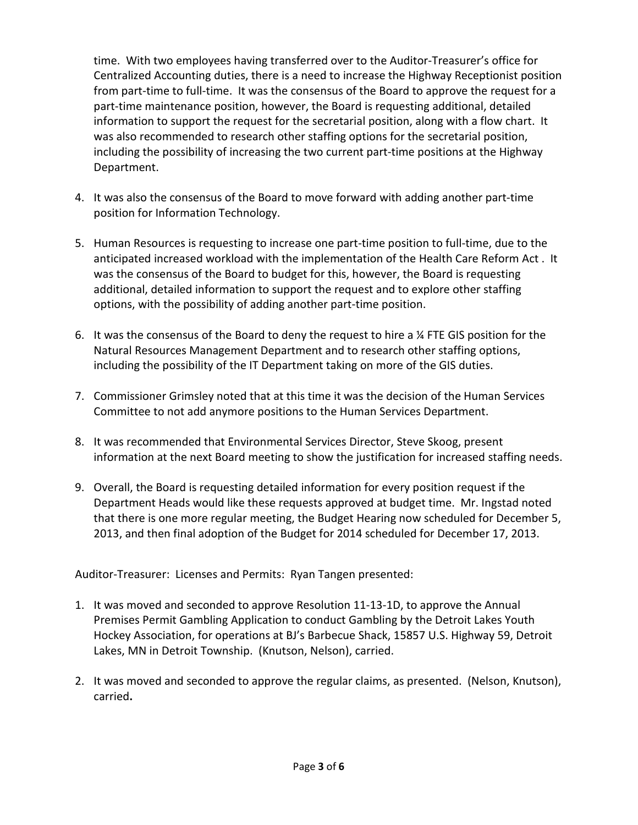time. With two employees having transferred over to the Auditor-Treasurer's office for Centralized Accounting duties, there is a need to increase the Highway Receptionist position from part-time to full-time. It was the consensus of the Board to approve the request for a part-time maintenance position, however, the Board is requesting additional, detailed information to support the request for the secretarial position, along with a flow chart. It was also recommended to research other staffing options for the secretarial position, including the possibility of increasing the two current part-time positions at the Highway Department.

- 4. It was also the consensus of the Board to move forward with adding another part-time position for Information Technology.
- 5. Human Resources is requesting to increase one part-time position to full-time, due to the anticipated increased workload with the implementation of the Health Care Reform Act . It was the consensus of the Board to budget for this, however, the Board is requesting additional, detailed information to support the request and to explore other staffing options, with the possibility of adding another part-time position.
- 6. It was the consensus of the Board to deny the request to hire a ¼ FTE GIS position for the Natural Resources Management Department and to research other staffing options, including the possibility of the IT Department taking on more of the GIS duties.
- 7. Commissioner Grimsley noted that at this time it was the decision of the Human Services Committee to not add anymore positions to the Human Services Department.
- 8. It was recommended that Environmental Services Director, Steve Skoog, present information at the next Board meeting to show the justification for increased staffing needs.
- 9. Overall, the Board is requesting detailed information for every position request if the Department Heads would like these requests approved at budget time. Mr. Ingstad noted that there is one more regular meeting, the Budget Hearing now scheduled for December 5, 2013, and then final adoption of the Budget for 2014 scheduled for December 17, 2013.

Auditor-Treasurer: Licenses and Permits: Ryan Tangen presented:

- 1. It was moved and seconded to approve Resolution 11-13-1D, to approve the Annual Premises Permit Gambling Application to conduct Gambling by the Detroit Lakes Youth Hockey Association, for operations at BJ's Barbecue Shack, 15857 U.S. Highway 59, Detroit Lakes, MN in Detroit Township. (Knutson, Nelson), carried.
- 2. It was moved and seconded to approve the regular claims, as presented. (Nelson, Knutson), carried**.**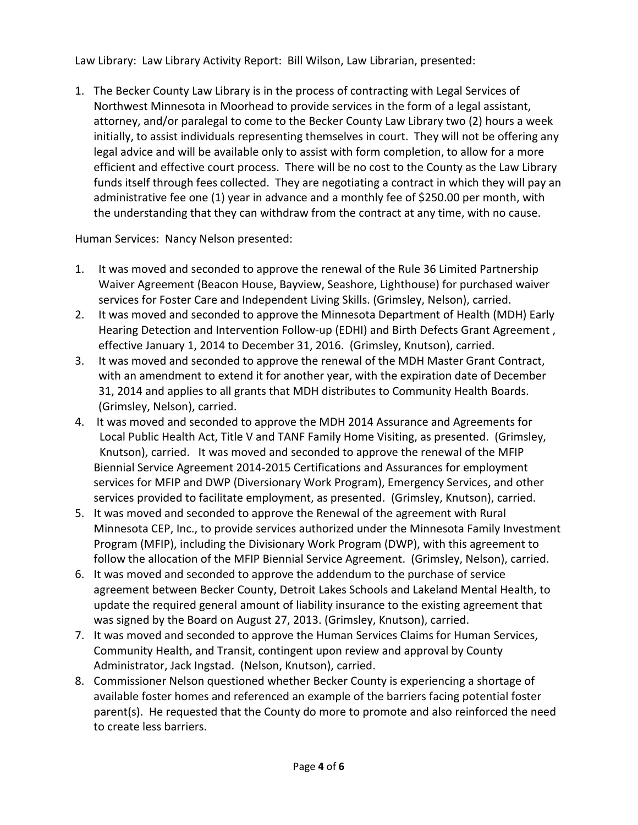Law Library: Law Library Activity Report: Bill Wilson, Law Librarian, presented:

1. The Becker County Law Library is in the process of contracting with Legal Services of Northwest Minnesota in Moorhead to provide services in the form of a legal assistant, attorney, and/or paralegal to come to the Becker County Law Library two (2) hours a week initially, to assist individuals representing themselves in court. They will not be offering any legal advice and will be available only to assist with form completion, to allow for a more efficient and effective court process. There will be no cost to the County as the Law Library funds itself through fees collected. They are negotiating a contract in which they will pay an administrative fee one (1) year in advance and a monthly fee of \$250.00 per month, with the understanding that they can withdraw from the contract at any time, with no cause.

Human Services: Nancy Nelson presented:

- 1. It was moved and seconded to approve the renewal of the Rule 36 Limited Partnership Waiver Agreement (Beacon House, Bayview, Seashore, Lighthouse) for purchased waiver services for Foster Care and Independent Living Skills. (Grimsley, Nelson), carried.
- 2. It was moved and seconded to approve the Minnesota Department of Health (MDH) Early Hearing Detection and Intervention Follow-up (EDHI) and Birth Defects Grant Agreement , effective January 1, 2014 to December 31, 2016. (Grimsley, Knutson), carried.
- 3. It was moved and seconded to approve the renewal of the MDH Master Grant Contract, with an amendment to extend it for another year, with the expiration date of December 31, 2014 and applies to all grants that MDH distributes to Community Health Boards. (Grimsley, Nelson), carried.
- 4. It was moved and seconded to approve the MDH 2014 Assurance and Agreements for Local Public Health Act, Title V and TANF Family Home Visiting, as presented. (Grimsley, Knutson), carried. It was moved and seconded to approve the renewal of the MFIP Biennial Service Agreement 2014-2015 Certifications and Assurances for employment services for MFIP and DWP (Diversionary Work Program), Emergency Services, and other services provided to facilitate employment, as presented. (Grimsley, Knutson), carried.
- 5. It was moved and seconded to approve the Renewal of the agreement with Rural Minnesota CEP, Inc., to provide services authorized under the Minnesota Family Investment Program (MFIP), including the Divisionary Work Program (DWP), with this agreement to follow the allocation of the MFIP Biennial Service Agreement. (Grimsley, Nelson), carried.
- 6. It was moved and seconded to approve the addendum to the purchase of service agreement between Becker County, Detroit Lakes Schools and Lakeland Mental Health, to update the required general amount of liability insurance to the existing agreement that was signed by the Board on August 27, 2013. (Grimsley, Knutson), carried.
- 7. It was moved and seconded to approve the Human Services Claims for Human Services, Community Health, and Transit, contingent upon review and approval by County Administrator, Jack Ingstad. (Nelson, Knutson), carried.
- 8. Commissioner Nelson questioned whether Becker County is experiencing a shortage of available foster homes and referenced an example of the barriers facing potential foster parent(s). He requested that the County do more to promote and also reinforced the need to create less barriers.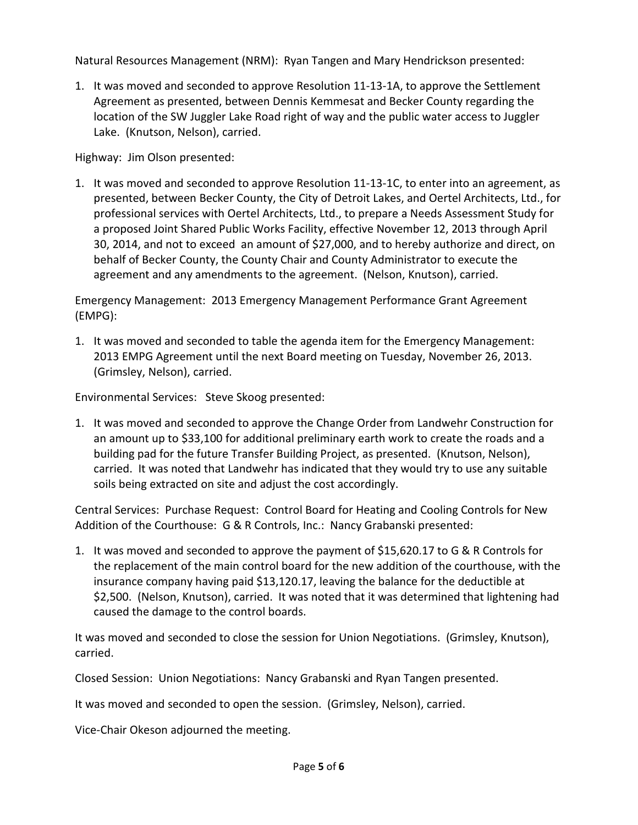Natural Resources Management (NRM): Ryan Tangen and Mary Hendrickson presented:

1. It was moved and seconded to approve Resolution 11-13-1A, to approve the Settlement Agreement as presented, between Dennis Kemmesat and Becker County regarding the location of the SW Juggler Lake Road right of way and the public water access to Juggler Lake. (Knutson, Nelson), carried.

Highway: Jim Olson presented:

1. It was moved and seconded to approve Resolution 11-13-1C, to enter into an agreement, as presented, between Becker County, the City of Detroit Lakes, and Oertel Architects, Ltd., for professional services with Oertel Architects, Ltd., to prepare a Needs Assessment Study for a proposed Joint Shared Public Works Facility, effective November 12, 2013 through April 30, 2014, and not to exceed an amount of \$27,000, and to hereby authorize and direct, on behalf of Becker County, the County Chair and County Administrator to execute the agreement and any amendments to the agreement. (Nelson, Knutson), carried.

Emergency Management: 2013 Emergency Management Performance Grant Agreement (EMPG):

1. It was moved and seconded to table the agenda item for the Emergency Management: 2013 EMPG Agreement until the next Board meeting on Tuesday, November 26, 2013. (Grimsley, Nelson), carried.

Environmental Services: Steve Skoog presented:

1. It was moved and seconded to approve the Change Order from Landwehr Construction for an amount up to \$33,100 for additional preliminary earth work to create the roads and a building pad for the future Transfer Building Project, as presented. (Knutson, Nelson), carried. It was noted that Landwehr has indicated that they would try to use any suitable soils being extracted on site and adjust the cost accordingly.

Central Services: Purchase Request: Control Board for Heating and Cooling Controls for New Addition of the Courthouse: G & R Controls, Inc.: Nancy Grabanski presented:

1. It was moved and seconded to approve the payment of \$15,620.17 to G & R Controls for the replacement of the main control board for the new addition of the courthouse, with the insurance company having paid \$13,120.17, leaving the balance for the deductible at \$2,500. (Nelson, Knutson), carried. It was noted that it was determined that lightening had caused the damage to the control boards.

It was moved and seconded to close the session for Union Negotiations. (Grimsley, Knutson), carried.

Closed Session: Union Negotiations: Nancy Grabanski and Ryan Tangen presented.

It was moved and seconded to open the session. (Grimsley, Nelson), carried.

Vice-Chair Okeson adjourned the meeting.